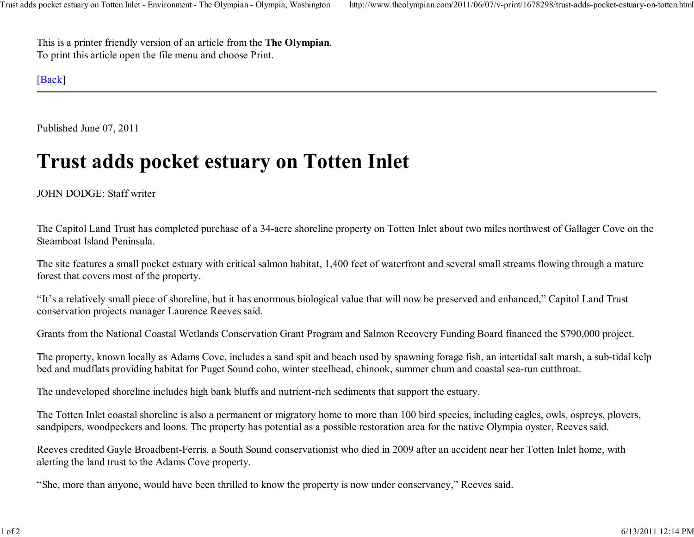This is a printer friendly version of an article from the The Olympian.To print this article open the file menu and choose Print.

## [Back]

Published June 07, 2011

## Trust adds pocket estuary on Totten Inlet

## JOHN DODGE; Staff writer

The Capitol Land Trust has completed purchase of a 34-acre shoreline property on Totten Inlet about two miles northwest of Gallager Cove on theSteamboat Island Peninsula.

The site features a small pocket estuary with critical salmon habitat, 1,400 feet of waterfront and several small streams flowing through a matureforest that covers most of the property.

"It's a relatively small piece of shoreline, but it has enormous biological value that will now be preserved and enhanced," Capitol Land Trustconservation projects manager Laurence Reeves said.

Grants from the National Coastal Wetlands Conservation Grant Program and Salmon Recovery Funding Board financed the \$790,000 project.

The property, known locally as Adams Cove, includes a sand spit and beach used by spawning forage fish, an intertidal salt marsh, a sub-tidal kelpbed and mudflats providing habitat for Puget Sound coho, winter steelhead, chinook, summer chum and coastal sea-run cutthroat.

The undeveloped shoreline includes high bank bluffs and nutrient-rich sediments that support the estuary.

The Totten Inlet coastal shoreline is also a permanent or migratory home to more than 100 bird species, including eagles, owls, ospreys, plovers,sandpipers, woodpeckers and loons. The property has potential as a possible restoration area for the native Olympia oyster, Reeves said.

Reeves credited Gayle Broadbent-Ferris, a South Sound conservationist who died in 2009 after an accident near her Totten Inlet home, withalerting the land trust to the Adams Cove property.

"She, more than anyone, would have been thrilled to know the property is now under conservancy," Reeves said.